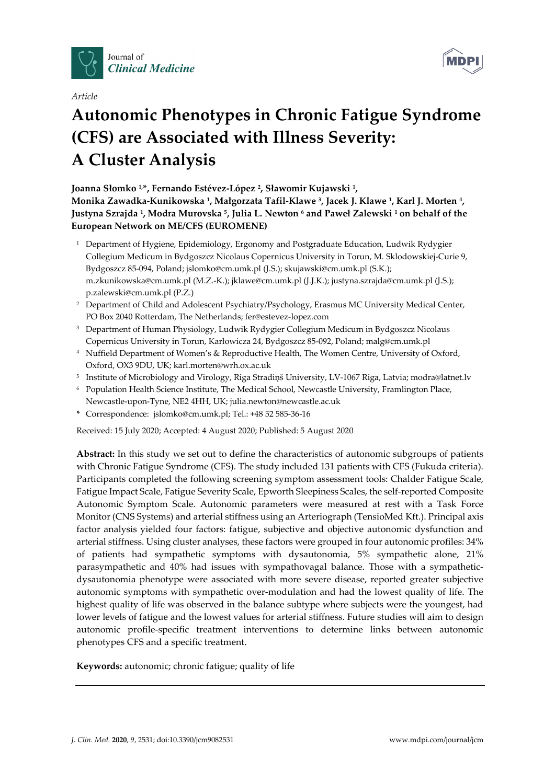



# *Article* **Autonomic Phenotypes in Chronic Fatigue Syndrome (CFS) are Associated with Illness Severity: A Cluster Analysis**

**Joanna Słomko 1, \*, Fernando Estévez-López 2, Sławomir Kujawski 1, Monika Zawadka-Kunikowska 1, Małgorzata Tafil-Klawe 3, Jacek J. Klawe 1, Karl J. Morten 4, Justyna Szrajda 1, Modra Murovska 5, Julia L. Newton <sup>6</sup> and Paweł Zalewski <sup>1</sup> on behalf of the European Network on ME/CFS (EUROMENE)**

- <sup>1</sup> Department of Hygiene, Epidemiology, Ergonomy and Postgraduate Education, Ludwik Rydygier Collegium Medicum in Bydgoszcz Nicolaus Copernicus University in Torun, M. Sklodowskiej-Curie 9, Bydgoszcz 85-094, Poland; jslomko@cm.umk.pl (J.S.); skujawski@cm.umk.pl (S.K.); m.zkunikowska@cm.umk.pl (M.Z.-K.); jklawe@cm.umk.pl (J.J.K.); justyna.szrajda@cm.umk.pl (J.S.); p.zalewski@cm.umk.pl (P.Z.)
- <sup>2</sup> Department of Child and Adolescent Psychiatry/Psychology, Erasmus MC University Medical Center, PO Box 2040 Rotterdam, The Netherlands; fer@estevez-lopez.com
- <sup>3</sup> Department of Human Physiology, Ludwik Rydygier Collegium Medicum in Bydgoszcz Nicolaus Copernicus University in Torun, Karłowicza 24, Bydgoszcz 85-092, Poland; malg@cm.umk.pl
- <sup>4</sup> Nuffield Department of Women's & Reproductive Health, The Women Centre, University of Oxford, Oxford, OX3 9DU, UK; karl.morten@wrh.ox.ac.uk
- <sup>5</sup> Institute of Microbiology and Virology, Riga Stradiņš University, LV-1067 Riga, Latvia; modra@latnet.lv
- <sup>6</sup> Population Health Science Institute, The Medical School, Newcastle University, Framlington Place, Newcastle-upon-Tyne, NE2 4HH, UK; julia.newton@newcastle.ac.uk
- **\*** Correspondence: jslomko@cm.umk.pl; Tel.: +48 52 585-36-16

Received: 15 July 2020; Accepted: 4 August 2020; Published: 5 August 2020

**Abstract:** In this study we set out to define the characteristics of autonomic subgroups of patients with Chronic Fatigue Syndrome (CFS). The study included 131 patients with CFS (Fukuda criteria). Participants completed the following screening symptom assessment tools: Chalder Fatigue Scale, Fatigue Impact Scale, Fatigue Severity Scale, Epworth Sleepiness Scales, the self-reported Composite Autonomic Symptom Scale. Autonomic parameters were measured at rest with a Task Force Monitor (CNS Systems) and arterial stiffness using an Arteriograph (TensioMed Kft.). Principal axis factor analysis yielded four factors: fatigue, subjective and objective autonomic dysfunction and arterial stiffness. Using cluster analyses, these factors were grouped in four autonomic profiles: 34% of patients had sympathetic symptoms with dysautonomia, 5% sympathetic alone, 21% parasympathetic and 40% had issues with sympathovagal balance. Those with a sympatheticdysautonomia phenotype were associated with more severe disease, reported greater subjective autonomic symptoms with sympathetic over-modulation and had the lowest quality of life. The highest quality of life was observed in the balance subtype where subjects were the youngest, had lower levels of fatigue and the lowest values for arterial stiffness. Future studies will aim to design autonomic profile-specific treatment interventions to determine links between autonomic phenotypes CFS and a specific treatment.

**Keywords:** autonomic; chronic fatigue; quality of life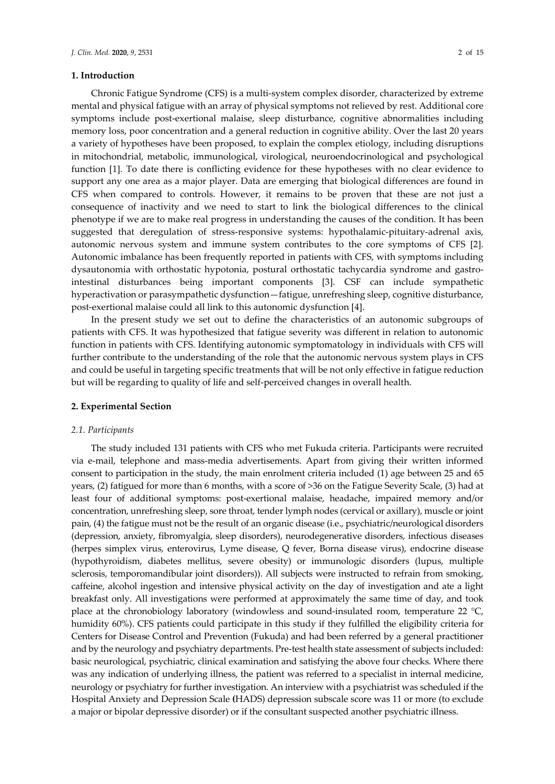## **1. Introduction**

Chronic Fatigue Syndrome (CFS) is a multi-system complex disorder, characterized by extreme mental and physical fatigue with an array of physical symptoms not relieved by rest. Additional core symptoms include post-exertional malaise, sleep disturbance, cognitive abnormalities including memory loss, poor concentration and a general reduction in cognitive ability. Over the last 20 years a variety of hypotheses have been proposed, to explain the complex etiology, including disruptions in mitochondrial, metabolic, immunological, virological, neuroendocrinological and psychological function [1]. To date there is conflicting evidence for these hypotheses with no clear evidence to support any one area as a major player. Data are emerging that biological differences are found in CFS when compared to controls. However, it remains to be proven that these are not just a consequence of inactivity and we need to start to link the biological differences to the clinical phenotype if we are to make real progress in understanding the causes of the condition. It has been suggested that deregulation of stress-responsive systems: hypothalamic-pituitary-adrenal axis, autonomic nervous system and immune system contributes to the core symptoms of CFS [2].

Autonomic imbalance has been frequently reported in patients with CFS, with symptoms including dysautonomia with orthostatic hypotonia, postural orthostatic tachycardia syndrome and gastrointestinal disturbances being important components [3]. CSF can include sympathetic hyperactivation or parasympathetic dysfunction—fatigue, unrefreshing sleep, cognitive disturbance, post-exertional malaise could all link to this autonomic dysfunction [4].

In the present study we set out to define the characteristics of an autonomic subgroups of patients with CFS. It was hypothesized that fatigue severity was different in relation to autonomic function in patients with CFS. Identifying autonomic symptomatology in individuals with CFS will further contribute to the understanding of the role that the autonomic nervous system plays in CFS and could be useful in targeting specific treatments that will be not only effective in fatigue reduction but will be regarding to quality of life and self-perceived changes in overall health.

## **2. Experimental Section**

#### *2.1. Participants*

The study included 131 patients with CFS who met Fukuda criteria. Participants were recruited via e-mail, telephone and mass-media advertisements. Apart from giving their written informed consent to participation in the study, the main enrolment criteria included (1) age between 25 and 65 years, (2) fatigued for more than 6 months, with a score of >36 on the Fatigue Severity Scale, (3) had at least four of additional symptoms: post-exertional malaise, headache, impaired memory and/or concentration, unrefreshing sleep, sore throat, tender lymph nodes (cervical or axillary), muscle or joint pain, (4) the fatigue must not be the result of an organic disease (i.e., psychiatric/neurological disorders (depression, anxiety, fibromyalgia, sleep disorders), neurodegenerative disorders, infectious diseases (herpes simplex virus, enterovirus, Lyme disease, Q fever, Borna disease virus), endocrine disease (hypothyroidism, diabetes mellitus, severe obesity) or immunologic disorders (lupus, multiple sclerosis, temporomandibular joint disorders)). All subjects were instructed to refrain from smoking, caffeine, alcohol ingestion and intensive physical activity on the day of investigation and ate a light breakfast only. All investigations were performed at approximately the same time of day, and took place at the chronobiology laboratory (windowless and sound-insulated room, temperature 22 °C, humidity 60%). CFS patients could participate in this study if they fulfilled the eligibility criteria for Centers for Disease Control and Prevention (Fukuda) and had been referred by a general practitioner and by the neurology and psychiatry departments. Pre-test health state assessment of subjects included: basic neurological, psychiatric, clinical examination and satisfying the above four checks. Where there was any indication of underlying illness, the patient was referred to a specialist in internal medicine, neurology or psychiatry for further investigation. An interview with a psychiatrist was scheduled if the Hospital Anxiety and Depression Scale **(**HADS) depression subscale score was 11 or more (to exclude a major or bipolar depressive disorder) or if the consultant suspected another psychiatric illness.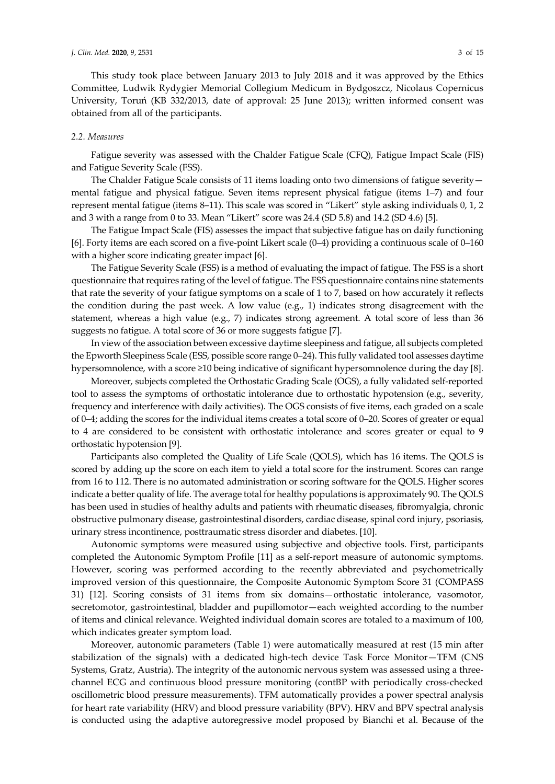This study took place between January 2013 to July 2018 and it was approved by the Ethics Committee, Ludwik Rydygier Memorial Collegium Medicum in Bydgoszcz, Nicolaus Copernicus University, Toruń (KB 332/2013, date of approval: 25 June 2013); written informed consent was obtained from all of the participants.

# *2.2. Measures*

Fatigue severity was assessed with the Chalder Fatigue Scale (CFQ), Fatigue Impact Scale (FIS) and Fatigue Severity Scale (FSS).

The Chalder Fatigue Scale consists of 11 items loading onto two dimensions of fatigue severity mental fatigue and physical fatigue. Seven items represent physical fatigue (items 1–7) and four represent mental fatigue (items 8–11). This scale was scored in "Likert" style asking individuals 0, 1, 2 and 3 with a range from 0 to 33. Mean "Likert" score was 24.4 (SD 5.8) and 14.2 (SD 4.6) [5].

The Fatigue Impact Scale (FIS) assesses the impact that subjective fatigue has on daily functioning [6]. Forty items are each scored on a five-point Likert scale (0–4) providing a continuous scale of 0–160 with a higher score indicating greater impact [6].

The Fatigue Severity Scale (FSS) is a method of evaluating the impact of fatigue. The FSS is a short questionnaire that requires rating of the level of fatigue. The FSS questionnaire contains nine statements that rate the severity of your fatigue symptoms on a scale of 1 to 7, based on how accurately it reflects the condition during the past week. A low value (e.g., 1) indicates strong disagreement with the statement, whereas a high value (e.g., 7) indicates strong agreement. A total score of less than 36 suggests no fatigue. A total score of 36 or more suggests fatigue [7].

In view of the association between excessive daytime sleepiness and fatigue, all subjects completed the Epworth Sleepiness Scale (ESS, possible score range 0–24). This fully validated tool assesses daytime hypersomnolence, with a score ≥10 being indicative of significant hypersomnolence during the day [8].

Moreover, subjects completed the Orthostatic Grading Scale (OGS), a fully validated self-reported tool to assess the symptoms of orthostatic intolerance due to orthostatic hypotension (e.g., severity, frequency and interference with daily activities). The OGS consists of five items, each graded on a scale of 0–4; adding the scores for the individual items creates a total score of 0–20. Scores of greater or equal to 4 are considered to be consistent with orthostatic intolerance and scores greater or equal to 9 orthostatic hypotension [9].

Participants also completed the Quality of Life Scale (QOLS), which has 16 items. The QOLS is scored by adding up the score on each item to yield a total score for the instrument. Scores can range from 16 to 112. There is no automated administration or scoring software for the QOLS. Higher scores indicate a better quality of life. The average total for healthy populations is approximately 90. The QOLS has been used in studies of healthy adults and patients with rheumatic diseases, fibromyalgia, chronic obstructive pulmonary disease, gastrointestinal disorders, cardiac disease, spinal cord injury, psoriasis, urinary stress incontinence, posttraumatic stress disorder and diabetes. [10].

Autonomic symptoms were measured using subjective and objective tools. First, participants completed the Autonomic Symptom Profile [11] as a self-report measure of autonomic symptoms. However, scoring was performed according to the recently abbreviated and psychometrically improved version of this questionnaire, the Composite Autonomic Symptom Score 31 (COMPASS 31) [12]. Scoring consists of 31 items from six domains—orthostatic intolerance, vasomotor, secretomotor, gastrointestinal, bladder and pupillomotor—each weighted according to the number of items and clinical relevance. Weighted individual domain scores are totaled to a maximum of 100, which indicates greater symptom load.

Moreover, autonomic parameters (Table 1) were automatically measured at rest (15 min after stabilization of the signals) with a dedicated high-tech device Task Force Monitor—TFM (CNS Systems, Gratz, Austria). The integrity of the autonomic nervous system was assessed using a threechannel ECG and continuous blood pressure monitoring (contBP with periodically cross-checked oscillometric blood pressure measurements). TFM automatically provides a power spectral analysis for heart rate variability (HRV) and blood pressure variability (BPV). HRV and BPV spectral analysis is conducted using the adaptive autoregressive model proposed by Bianchi et al. Because of the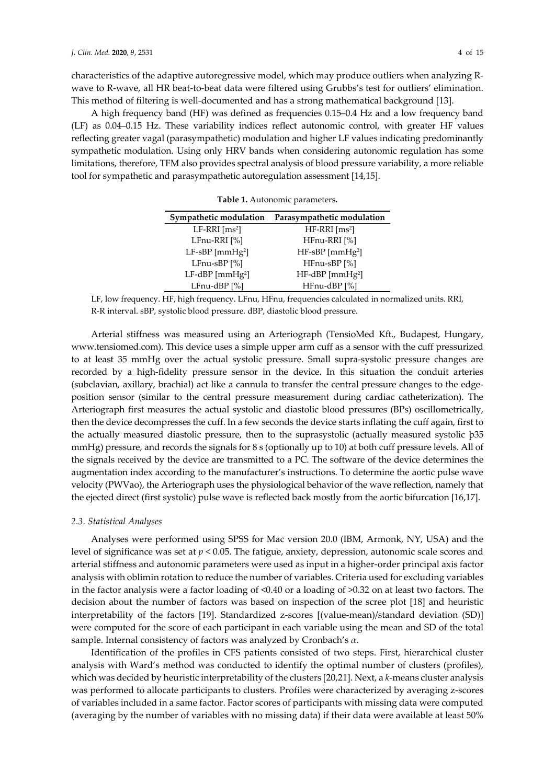characteristics of the adaptive autoregressive model, which may produce outliers when analyzing Rwave to R-wave, all HR beat-to-beat data were filtered using Grubbs's test for outliers' elimination. This method of filtering is well-documented and has a strong mathematical background [13].

A high frequency band (HF) was defined as frequencies 0.15–0.4 Hz and a low frequency band (LF) as 0.04–0.15 Hz. These variability indices reflect autonomic control, with greater HF values reflecting greater vagal (parasympathetic) modulation and higher LF values indicating predominantly sympathetic modulation. Using only HRV bands when considering autonomic regulation has some limitations, therefore, TFM also provides spectral analysis of blood pressure variability, a more reliable tool for sympathetic and parasympathetic autoregulation assessment [14,15].

| Sympathetic modulation      | Parasympathetic modulation  |
|-----------------------------|-----------------------------|
| $LF-RRI$ [ms <sup>2</sup> ] | $HF-RRI$ [ms <sup>2</sup> ] |
| LFnu-RRI [%]                | HFnu-RRI [%]                |
| $LF-sBP$ [mm $Hg2$ ]        | $HF-sBP$ [mm $Hg2$ ]        |
| $LFnu-sBP$ [%]              | $HFnu-sBP$ [%]              |
| $LF-dBP$ [mm $Hg2$ ]        | $HF-dBP$ [mm $Hg2$ ]        |
| $LFnu-dBP$ [%]              | $H$ Fnu-dBP $[%]$           |

**Table 1.** Autonomic parameters**.**

LF, low frequency. HF, high frequency. LFnu, HFnu, frequencies calculated in normalized units. RRI, R-R interval. sBP, systolic blood pressure. dBP, diastolic blood pressure.

Arterial stiffness was measured using an Arteriograph (TensioMed Kft., Budapest, Hungary, www.tensiomed.com). This device uses a simple upper arm cuff as a sensor with the cuff pressurized to at least 35 mmHg over the actual systolic pressure. Small supra-systolic pressure changes are recorded by a high-fidelity pressure sensor in the device. In this situation the conduit arteries (subclavian, axillary, brachial) act like a cannula to transfer the central pressure changes to the edgeposition sensor (similar to the central pressure measurement during cardiac catheterization). The Arteriograph first measures the actual systolic and diastolic blood pressures (BPs) oscillometrically, then the device decompresses the cuff. In a few seconds the device starts inflating the cuff again, first to the actually measured diastolic pressure, then to the suprasystolic (actually measured systolic þ35 mmHg) pressure, and records the signals for 8 s (optionally up to 10) at both cuff pressure levels. All of the signals received by the device are transmitted to a PC. The software of the device determines the augmentation index according to the manufacturer's instructions. To determine the aortic pulse wave velocity (PWVao), the Arteriograph uses the physiological behavior of the wave reflection, namely that the ejected direct (first systolic) pulse wave is reflected back mostly from the aortic bifurcation [16,17].

#### *2.3. Statistical Analyses*

Analyses were performed using SPSS for Mac version 20.0 (IBM, Armonk, NY, USA) and the level of significance was set at *p* < 0.05. The fatigue, anxiety, depression, autonomic scale scores and arterial stiffness and autonomic parameters were used as input in a higher-order principal axis factor analysis with oblimin rotation to reduce the number of variables. Criteria used for excluding variables in the factor analysis were a factor loading of <0.40 or a loading of >0.32 on at least two factors. The decision about the number of factors was based on inspection of the scree plot [18] and heuristic interpretability of the factors [19]. Standardized z-scores [(value-mean)/standard deviation (SD)] were computed for the score of each participant in each variable using the mean and SD of the total sample. Internal consistency of factors was analyzed by Cronbach's *α*.

Identification of the profiles in CFS patients consisted of two steps. First, hierarchical cluster analysis with Ward's method was conducted to identify the optimal number of clusters (profiles), which was decided by heuristic interpretability of the clusters [20,21]. Next, a *k*-means cluster analysis was performed to allocate participants to clusters. Profiles were characterized by averaging z-scores of variables included in a same factor. Factor scores of participants with missing data were computed (averaging by the number of variables with no missing data) if their data were available at least 50%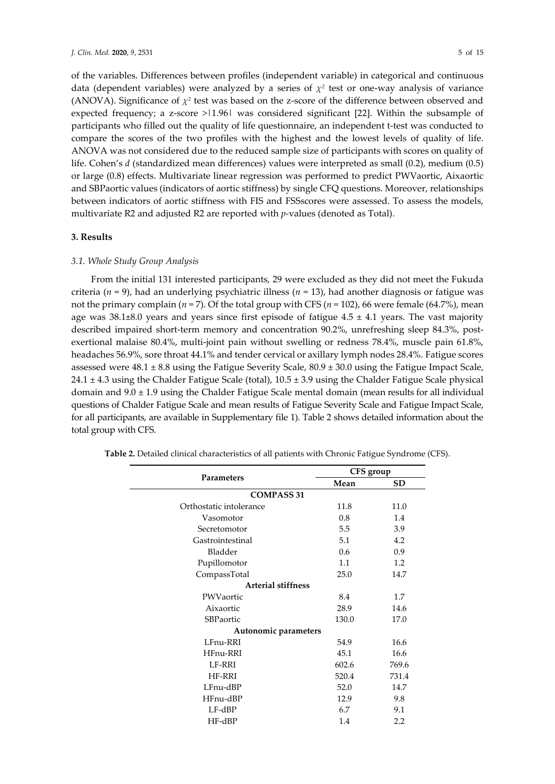of the variables. Differences between profiles (independent variable) in categorical and continuous data (dependent variables) were analyzed by a series of  $\chi^2$  test or one-way analysis of variance (ANOVA). Significance of *χ2* test was based on the z-score of the difference between observed and expected frequency; a z-score  $>11.96$  was considered significant [22]. Within the subsample of participants who filled out the quality of life questionnaire, an independent t-test was conducted to compare the scores of the two profiles with the highest and the lowest levels of quality of life. ANOVA was not considered due to the reduced sample size of participants with scores on quality of life. Cohen's *d* (standardized mean differences) values were interpreted as small (0.2), medium (0.5) or large (0.8) effects. Multivariate linear regression was performed to predict PWVaortic, Aixaortic and SBPaortic values (indicators of aortic stiffness) by single CFQ questions. Moreover, relationships between indicators of aortic stiffness with FIS and FSSscores were assessed. To assess the models, multivariate R2 and adjusted R2 are reported with *p*-values (denoted as Total).

## **3. Results**

#### *3.1. Whole Study Group Analysis*

From the initial 131 interested participants, 29 were excluded as they did not meet the Fukuda criteria (*n* = 9), had an underlying psychiatric illness (*n* = 13), had another diagnosis or fatigue was not the primary complain (*n* = 7). Of the total group with CFS (*n* = 102), 66 were female (64.7%), mean age was  $38.1\pm8.0$  years and years since first episode of fatigue  $4.5 \pm 4.1$  years. The vast majority described impaired short-term memory and concentration 90.2%, unrefreshing sleep 84.3%, postexertional malaise 80.4%, multi-joint pain without swelling or redness 78.4%, muscle pain 61.8%, headaches 56.9%, sore throat 44.1% and tender cervical or axillary lymph nodes 28.4%. Fatigue scores assessed were  $48.1 \pm 8.8$  using the Fatigue Severity Scale,  $80.9 \pm 30.0$  using the Fatigue Impact Scale, 24.1  $\pm$  4.3 using the Chalder Fatigue Scale (total), 10.5  $\pm$  3.9 using the Chalder Fatigue Scale physical domain and  $9.0 \pm 1.9$  using the Chalder Fatigue Scale mental domain (mean results for all individual questions of Chalder Fatigue Scale and mean results of Fatigue Severity Scale and Fatigue Impact Scale, for all participants, are available in Supplementary file 1). Table 2 shows detailed information about the total group with CFS.

|                           | CFS group |           |
|---------------------------|-----------|-----------|
| <b>Parameters</b>         | Mean      | <b>SD</b> |
| <b>COMPASS 31</b>         |           |           |
| Orthostatic intolerance   | 11.8      | 11.0      |
| Vasomotor                 | 0.8       | 1.4       |
| Secretomotor              | 5.5       | 3.9       |
| Gastrointestinal          | 5.1       | 4.2       |
| Bladder                   | 0.6       | 0.9       |
| Pupillomotor              | 1.1       | 1.2       |
| CompassTotal              | 25.0      | 14.7      |
| <b>Arterial stiffness</b> |           |           |
| PWVaortic                 | 8.4       | 1.7       |
| Aixaortic                 | 28.9      | 14.6      |
| <b>SBPaortic</b>          | 130.0     | 17.0      |
| Autonomic parameters      |           |           |
| LFnu-RRI                  | 54.9      | 16.6      |
| HFnu-RRI                  | 45.1      | 16.6      |
| LF-RRI                    | 602.6     | 769.6     |
| HF-RRI                    | 520.4     | 731.4     |
| LFnu-dBP                  | 52.0      | 14.7      |
| HFnu-dBP                  | 12.9      | 9.8       |
| $LF-dBP$                  | 6.7       | 9.1       |
| $HF-dBP$                  | 1.4       | 2.2       |

**Table 2.** Detailed clinical characteristics of all patients with Chronic Fatigue Syndrome (CFS).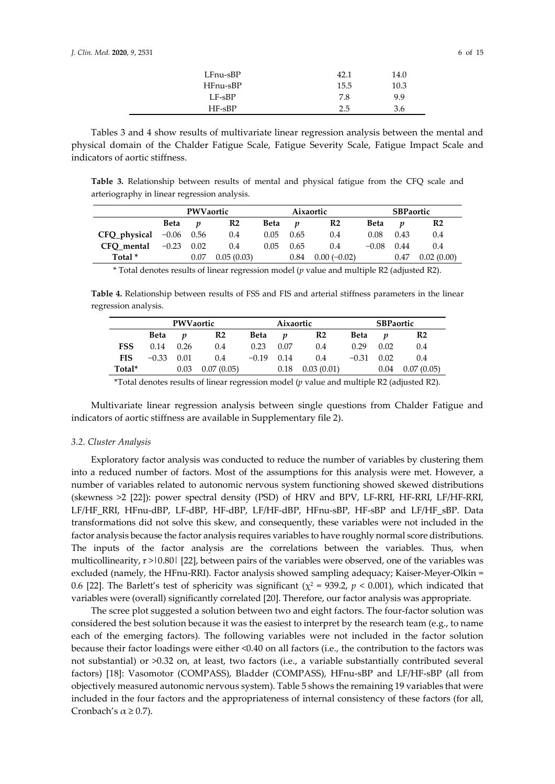| $LFnu-sBP$ | 42.1 | 14.0 |
|------------|------|------|
| HFnu-sBP   | 15.5 | 10.3 |
| $LF-sBP$   | 7.8  | 99   |
| $HF-sBP$   | 2.5  | 3.6  |

Tables 3 and 4 show results of multivariate linear regression analysis between the mental and physical domain of the Chalder Fatigue Scale, Fatigue Severity Scale, Fatigue Impact Scale and indicators of aortic stiffness.

**Table 3.** Relationship between results of mental and physical fatigue from the CFQ scale and arteriography in linear regression analysis.

|                              |                             | <b>PWVaortic</b> |            |                  |                | Aixaortic     | <b>SBPaortic</b> |                |            |  |
|------------------------------|-----------------------------|------------------|------------|------------------|----------------|---------------|------------------|----------------|------------|--|
|                              | R <sub>2</sub><br>Beta<br>v |                  | Beta       | $\boldsymbol{v}$ | R <sub>2</sub> | Beta          | v                | R <sub>2</sub> |            |  |
| $CFQ1$ physical $-0.06$ 0.56 |                             |                  | 0.4        | $0.05 -$         | 0.65           | 0.4           | 0.08             | 0.43           | 0.4        |  |
| CFO mental $-0.23$ 0.02      |                             |                  | 0.4        | 0.05             | 0.65           | 0.4           | $-0.08$          | 0.44           | 0.4        |  |
| Total *                      |                             | 0.07             | 0.05(0.03) |                  | 0.84           | $0.00(-0.02)$ |                  | 0.47           | 0.02(0.00) |  |
|                              |                             |                  |            |                  |                |               |                  |                |            |  |

\* Total denotes results of linear regression model (*p* value and multiple R2 (adjusted R2).

**Table 4.** Relationship between results of FSS and FIS and arterial stiffness parameters in the linear regression analysis.

|            | <b>PWVaortic</b> |      |                |              | Aixaortic           |            | <b>SBP</b> aortic |      |                |  |
|------------|------------------|------|----------------|--------------|---------------------|------------|-------------------|------|----------------|--|
|            | Beta             | v    | R <sub>2</sub> |              | R <sub>2</sub><br>v |            | Beta              | v    | R <sub>2</sub> |  |
| <b>FSS</b> | 0.14             | 0.26 | 0.4            | 0.23         | 0.07                | 0.4        | 0.29              | 0.02 | 0.4            |  |
| <b>FIS</b> | $-0.33$ 0.01     |      | 0.4            | $-0.19$ 0.14 |                     | 0.4        | $-0.31$           | 0.02 | 0.4            |  |
| Total*     |                  | 0.03 | 0.07(0.05)     |              | 0.18                | 0.03(0.01) |                   | 0.04 | 0.07(0.05)     |  |

\*Total denotes results of linear regression model (*p* value and multiple R2 (adjusted R2).

Multivariate linear regression analysis between single questions from Chalder Fatigue and indicators of aortic stiffness are available in Supplementary file 2).

#### *3.2. Cluster Analysis*

Exploratory factor analysis was conducted to reduce the number of variables by clustering them into a reduced number of factors. Most of the assumptions for this analysis were met. However, a number of variables related to autonomic nervous system functioning showed skewed distributions (skewness >2 [22]): power spectral density (PSD) of HRV and BPV, LF-RRI, HF-RRI, LF/HF-RRI, LF/HF\_RRI, HFnu-dBP, LF-dBP, HF-dBP, LF/HF-dBP, HFnu-sBP, HF-sBP and LF/HF\_sBP. Data transformations did not solve this skew, and consequently, these variables were not included in the factor analysis because the factor analysis requires variables to have roughly normal score distributions. The inputs of the factor analysis are the correlations between the variables. Thus, when multicollinearity, r > | 0.80 | [22], between pairs of the variables were observed, one of the variables was excluded (namely, the HFnu-RRI). Factor analysis showed sampling adequacy; Kaiser-Meyer-Olkin = 0.6 [22]. The Barlett's test of sphericity was significant ( $\chi^2$  = 939.2,  $p$  < 0.001), which indicated that variables were (overall) significantly correlated [20]. Therefore, our factor analysis was appropriate.

The scree plot suggested a solution between two and eight factors. The four-factor solution was considered the best solution because it was the easiest to interpret by the research team (e.g., to name each of the emerging factors). The following variables were not included in the factor solution because their factor loadings were either <0.40 on all factors (i.e., the contribution to the factors was not substantial) or >0.32 on, at least, two factors (i.e., a variable substantially contributed several factors) [18]: Vasomotor (COMPASS), Bladder (COMPASS), HFnu-sBP and LF/HF-sBP (all from objectively measured autonomic nervous system). Table 5 shows the remaining 19 variables that were included in the four factors and the appropriateness of internal consistency of these factors (for all, Cronbach's  $\alpha \geq 0.7$ ).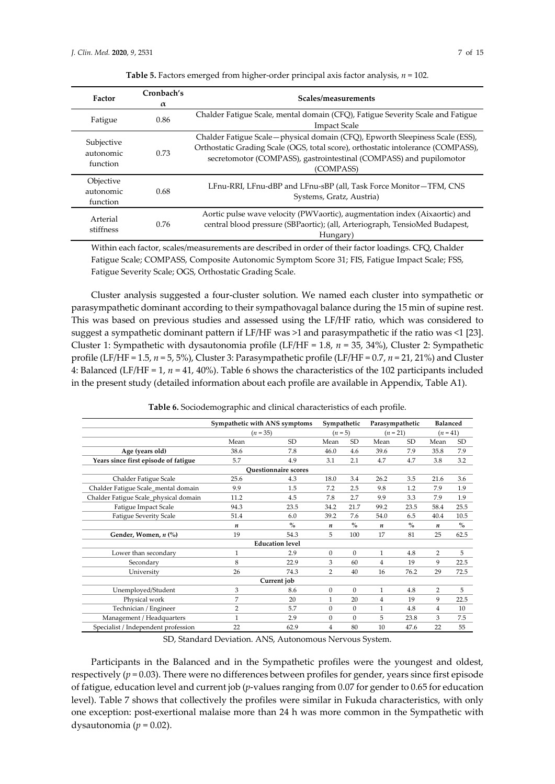| Factor                              | Cronbach's<br>$\alpha$ | Scales/measurements                                                                                                                                                                                                                                   |
|-------------------------------------|------------------------|-------------------------------------------------------------------------------------------------------------------------------------------------------------------------------------------------------------------------------------------------------|
| Fatigue                             | 0.86                   | Chalder Fatigue Scale, mental domain (CFQ), Fatigue Severity Scale and Fatigue<br><b>Impact Scale</b>                                                                                                                                                 |
| Subjective<br>autonomic<br>function | 0.73                   | Chalder Fatigue Scale - physical domain (CFQ), Epworth Sleepiness Scale (ESS),<br>Orthostatic Grading Scale (OGS, total score), orthostatic intolerance (COMPASS),<br>secretomotor (COMPASS), gastrointestinal (COMPASS) and pupilomotor<br>(COMPASS) |
| Objective<br>autonomic<br>function  | 0.68                   | LFnu-RRI, LFnu-dBP and LFnu-sBP (all, Task Force Monitor-TFM, CNS<br>Systems, Gratz, Austria)                                                                                                                                                         |
| Arterial<br>stiffness               | 0.76                   | Aortic pulse wave velocity (PWVaortic), augmentation index (Aixaortic) and<br>central blood pressure (SBPaortic); (all, Arteriograph, TensioMed Budapest,<br>Hungary)                                                                                 |

**Table 5.** Factors emerged from higher-order principal axis factor analysis,  $n = 102$ .

Within each factor, scales/measurements are described in order of their factor loadings. CFQ, Chalder Fatigue Scale; COMPASS, Composite Autonomic Symptom Score 31; FIS, Fatigue Impact Scale; FSS, Fatigue Severity Scale; OGS, Orthostatic Grading Scale.

Cluster analysis suggested a four-cluster solution. We named each cluster into sympathetic or parasympathetic dominant according to their sympathovagal balance during the 15 min of supine rest. This was based on previous studies and assessed using the LF/HF ratio, which was considered to suggest a sympathetic dominant pattern if LF/HF was >1 and parasympathetic if the ratio was <1 [23]. Cluster 1: Sympathetic with dysautonomia profile (LF/HF = 1.8, *n* = 35, 34%), Cluster 2: Sympathetic profile (LF/HF = 1.5, *n* = 5, 5%), Cluster 3: Parasympathetic profile (LF/HF = 0.7, *n* = 21, 21%) and Cluster 4: Balanced (LF/HF = 1, *n* = 41, 40%). Table 6 shows the characteristics of the 102 participants included in the present study (detailed information about each profile are available in Appendix, Table A1).

**Table 6.** Sociodemographic and clinical characteristics of each profile.

|                                       | Sympathetic with ANS symptoms |                             | Sympathetic      |               | Parasympathetic  |                    | <b>Balanced</b>  |               |
|---------------------------------------|-------------------------------|-----------------------------|------------------|---------------|------------------|--------------------|------------------|---------------|
|                                       | $(n = 35)$                    |                             | $(n=5)$          |               | $(n = 21)$       |                    | $(n = 41)$       |               |
|                                       | Mean                          | <b>SD</b>                   | Mean             | <b>SD</b>     | Mean             | <b>SD</b>          | Mean             | <b>SD</b>     |
| Age (years old)                       | 38.6                          | 7.8                         | 46.0             | 4.6           | 39.6             | 7.9                | 35.8             | 7.9           |
| Years since first episode of fatigue  | 5.7                           | 4.9                         | 3.1              | 2.1           | 4.7              | 4.7                | 3.8              | 3.2           |
|                                       |                               | <b>Ouestionnaire scores</b> |                  |               |                  |                    |                  |               |
| Chalder Fatigue Scale                 | 25.6                          | 4.3                         | 18.0             | 3.4           | 26.2             | 3.5                | 21.6             | 3.6           |
| Chalder Fatigue Scale mental domain   | 9.9                           | 1.5                         | 7.2              | 2.5           | 9.8              | 1.2                | 7.9              | 1.9           |
| Chalder Fatigue Scale_physical domain | 11.2                          | 4.5                         | 7.8              | 2.7           | 9.9              | 3.3                | 7.9              | 1.9           |
| Fatigue Impact Scale                  | 94.3                          | 23.5                        | 34.2             | 21.7          | 99.2             | 23.5               | 58.4             | 25.5          |
| <b>Fatigue Severity Scale</b>         | 51.4                          | 6.0                         | 39.2             | 7.6           | 54.0             | 6.5                | 40.4             | 10.5          |
|                                       | $\boldsymbol{n}$              | $\frac{0}{\alpha}$          | $\boldsymbol{n}$ | $\frac{0}{0}$ | $\boldsymbol{n}$ | $\frac{0}{\alpha}$ | $\boldsymbol{n}$ | $\frac{0}{0}$ |
| Gender, Women, n (%)                  | 19                            | 54.3                        | 5                | 100           | 17               | 81                 | 25               | 62.5          |
|                                       |                               | <b>Education level</b>      |                  |               |                  |                    |                  |               |
| Lower than secondary                  | $\mathbf{1}$                  | 2.9                         | $\Omega$         | $\Omega$      | $\mathbf{1}$     | 4.8                | $\overline{2}$   | 5             |
| Secondary                             | 8                             | 22.9                        | 3                | 60            | $\overline{4}$   | 19                 | 9                | 22.5          |
| University                            | 26                            | 74.3                        | $\overline{2}$   | 40            | 16               | 76.2               | 29               | 72.5          |
|                                       |                               | Current job                 |                  |               |                  |                    |                  |               |
| Unemployed/Student                    | 3                             | 8.6                         | 0                | $\mathbf{0}$  | $\mathbf{1}$     | 4.8                | 2                | 5             |
| Physical work                         | $\overline{7}$                | 20                          | 1                | 20            | $\overline{4}$   | 19                 | 9                | 22.5          |
| Technician / Engineer                 | $\overline{2}$                | 5.7                         | $\theta$         | $\mathbf{0}$  | $\mathbf{1}$     | 4.8                | $\overline{4}$   | 10            |
| Management / Headquarters             | $\mathbf{1}$                  | 2.9                         | 0                | $\mathbf{0}$  | 5                | 23.8               | 3                | 7.5           |
| Specialist / Independent profession   | 22                            | 62.9                        | $\overline{4}$   | 80            | 10               | 47.6               | 22               | 55            |

SD, Standard Deviation. ANS, Autonomous Nervous System.

Participants in the Balanced and in the Sympathetic profiles were the youngest and oldest, respectively (*p* = 0.03). There were no differences between profiles for gender, years since first episode of fatigue, education level and current job (*p*-values ranging from 0.07 for gender to 0.65 for education level). Table 7 shows that collectively the profiles were similar in Fukuda characteristics, with only one exception: post-exertional malaise more than 24 h was more common in the Sympathetic with dysautonomia ( $p = 0.02$ ).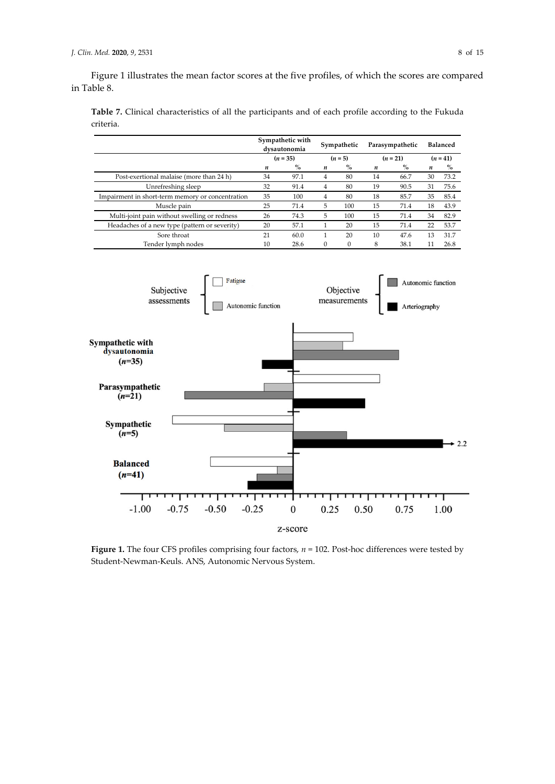Figure 1 illustrates the mean factor scores at the five profiles, of which the scores are compared in Table 8.

**Table 7.** Clinical characteristics of all the participants and of each profile according to the Fukuda criteria.



**Figure 1.** The four CFS profiles comprising four factors,  $n = 102$ . Post-hoc differences were tested by Student-Newman-Keuls. ANS, Autonomic Nervous System.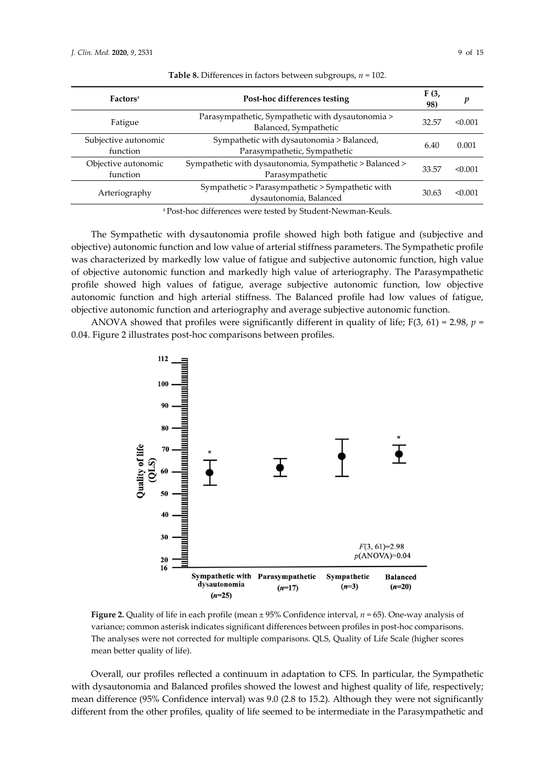| Factors <sup>#</sup>             | Post-hoc differences testing                                               |       |         |  |  |  |  |
|----------------------------------|----------------------------------------------------------------------------|-------|---------|--|--|--|--|
| Fatigue                          | Parasympathetic, Sympathetic with dysautonomia ><br>Balanced, Sympathetic  | 32.57 | < 0.001 |  |  |  |  |
| Subjective autonomic<br>function | Sympathetic with dysautonomia > Balanced,<br>Parasympathetic, Sympathetic  | 6.40  | 0.001   |  |  |  |  |
| Objective autonomic<br>function  | Sympathetic with dysautonomia, Sympathetic > Balanced ><br>Parasympathetic | 33.57 | < 0.001 |  |  |  |  |
| Arteriography                    | Sympathetic > Parasympathetic > Sympathetic with<br>dysautonomia, Balanced | 30.63 | < 0.001 |  |  |  |  |

**Table 8.** Differences in factors between subgroups, *n* = 102.

# Post-hoc differences were tested by Student-Newman-Keuls.

The Sympathetic with dysautonomia profile showed high both fatigue and (subjective and objective) autonomic function and low value of arterial stiffness parameters. The Sympathetic profile was characterized by markedly low value of fatigue and subjective autonomic function, high value of objective autonomic function and markedly high value of arteriography. The Parasympathetic profile showed high values of fatigue, average subjective autonomic function, low objective autonomic function and high arterial stiffness. The Balanced profile had low values of fatigue, objective autonomic function and arteriography and average subjective autonomic function.

ANOVA showed that profiles were significantly different in quality of life;  $F(3, 61) = 2.98$ ,  $p =$ 0.04. Figure 2 illustrates post-hoc comparisons between profiles.



**Figure 2.** Quality of life in each profile (mean ± 95% Confidence interval, *n* = 65). One-way analysis of variance; common asterisk indicates significant differences between profiles in post-hoc comparisons. The analyses were not corrected for multiple comparisons. QLS, Quality of Life Scale (higher scores mean better quality of life).

Overall, our profiles reflected a continuum in adaptation to CFS. In particular, the Sympathetic with dysautonomia and Balanced profiles showed the lowest and highest quality of life, respectively; mean difference (95% Confidence interval) was 9.0 (2.8 to 15.2). Although they were not significantly different from the other profiles, quality of life seemed to be intermediate in the Parasympathetic and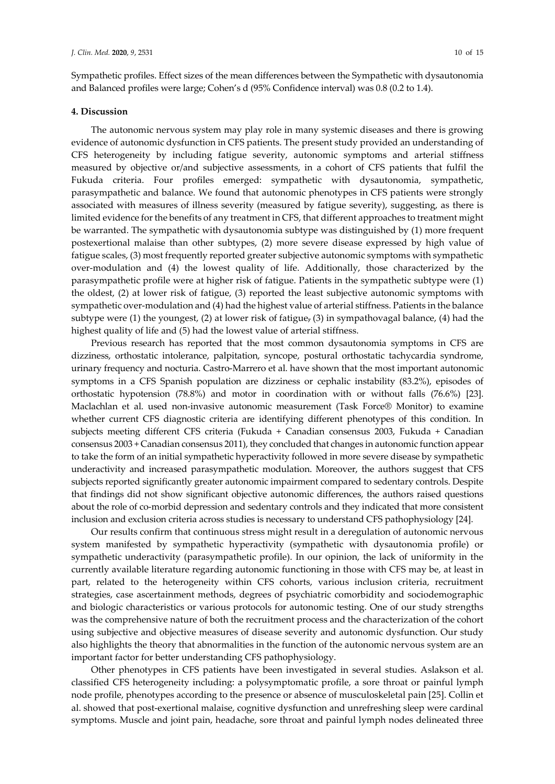Sympathetic profiles. Effect sizes of the mean differences between the Sympathetic with dysautonomia and Balanced profiles were large; Cohen's d (95% Confidence interval) was 0.8 (0.2 to 1.4).

### **4. Discussion**

The autonomic nervous system may play role in many systemic diseases and there is growing evidence of autonomic dysfunction in CFS patients. The present study provided an understanding of CFS heterogeneity by including fatigue severity, autonomic symptoms and arterial stiffness measured by objective or/and subjective assessments, in a cohort of CFS patients that fulfil the Fukuda criteria. Four profiles emerged: sympathetic with dysautonomia, sympathetic, parasympathetic and balance. We found that autonomic phenotypes in CFS patients were strongly associated with measures of illness severity (measured by fatigue severity), suggesting, as there is limited evidence for the benefits of any treatment in CFS, that different approaches to treatment might be warranted. The sympathetic with dysautonomia subtype was distinguished by (1) more frequent postexertional malaise than other subtypes, (2) more severe disease expressed by high value of fatigue scales, (3) most frequently reported greater subjective autonomic symptoms with sympathetic over-modulation and (4) the lowest quality of life. Additionally, those characterized by the parasympathetic profile were at higher risk of fatigue. Patients in the sympathetic subtype were (1) the oldest, (2) at lower risk of fatigue, (3) reported the least subjective autonomic symptoms with sympathetic over-modulation and (4) had the highest value of arterial stiffness. Patients in the balance subtype were (1) the youngest, (2) at lower risk of fatigue, (3) in sympathovagal balance, (4) had the highest quality of life and (5) had the lowest value of arterial stiffness.

Previous research has reported that the most common dysautonomia symptoms in CFS are dizziness, orthostatic intolerance, palpitation, syncope, postural orthostatic tachycardia syndrome, urinary frequency and nocturia. Castro-Marrero et al. have shown that the most important autonomic symptoms in a CFS Spanish population are dizziness or cephalic instability (83.2%), episodes of orthostatic hypotension (78.8%) and motor in coordination with or without falls (76.6%) [23]. Maclachlan et al. used non-invasive autonomic measurement (Task Force® Monitor) to examine whether current CFS diagnostic criteria are identifying different phenotypes of this condition. In subjects meeting different CFS criteria (Fukuda + Canadian consensus 2003, Fukuda + Canadian consensus 2003 + Canadian consensus 2011), they concluded that changes in autonomic function appear to take the form of an initial sympathetic hyperactivity followed in more severe disease by sympathetic underactivity and increased parasympathetic modulation. Moreover, the authors suggest that CFS subjects reported significantly greater autonomic impairment compared to sedentary controls. Despite that findings did not show significant objective autonomic differences, the authors raised questions about the role of co-morbid depression and sedentary controls and they indicated that more consistent inclusion and exclusion criteria across studies is necessary to understand CFS pathophysiology [24].

Our results confirm that continuous stress might result in a deregulation of autonomic nervous system manifested by sympathetic hyperactivity (sympathetic with dysautonomia profile) or sympathetic underactivity (parasympathetic profile). In our opinion, the lack of uniformity in the currently available literature regarding autonomic functioning in those with CFS may be, at least in part, related to the heterogeneity within CFS cohorts, various inclusion criteria, recruitment strategies, case ascertainment methods, degrees of psychiatric comorbidity and sociodemographic and biologic characteristics or various protocols for autonomic testing. One of our study strengths was the comprehensive nature of both the recruitment process and the characterization of the cohort using subjective and objective measures of disease severity and autonomic dysfunction. Our study also highlights the theory that abnormalities in the function of the autonomic nervous system are an important factor for better understanding CFS pathophysiology.

Other phenotypes in CFS patients have been investigated in several studies. Aslakson et al. classified CFS heterogeneity including: a polysymptomatic profile, a sore throat or painful lymph node profile, phenotypes according to the presence or absence of musculoskeletal pain [25]. Collin et al. showed that post-exertional malaise, cognitive dysfunction and unrefreshing sleep were cardinal symptoms. Muscle and joint pain, headache, sore throat and painful lymph nodes delineated three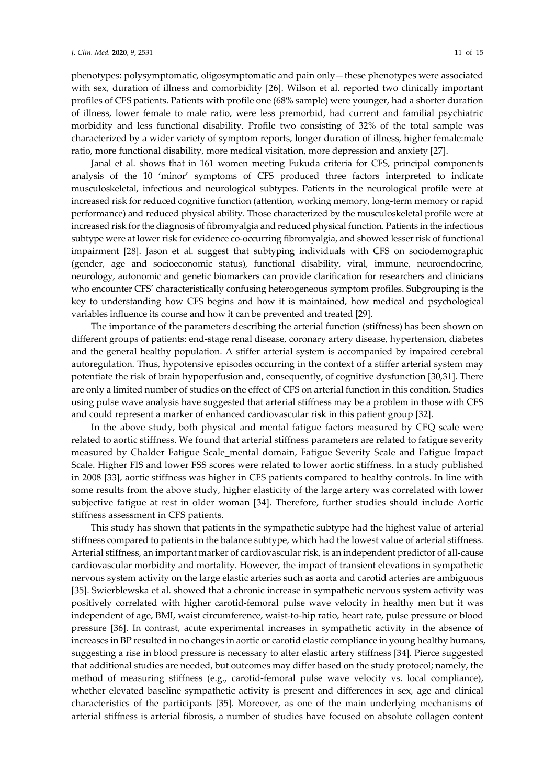phenotypes: polysymptomatic, oligosymptomatic and pain only—these phenotypes were associated with sex, duration of illness and comorbidity [26]. Wilson et al. reported two clinically important profiles of CFS patients. Patients with profile one (68% sample) were younger, had a shorter duration of illness, lower female to male ratio, were less premorbid, had current and familial psychiatric morbidity and less functional disability. Profile two consisting of 32% of the total sample was characterized by a wider variety of symptom reports, longer duration of illness, higher female:male ratio, more functional disability, more medical visitation, more depression and anxiety [27].

Janal et al. shows that in 161 women meeting Fukuda criteria for CFS, principal components analysis of the 10 'minor' symptoms of CFS produced three factors interpreted to indicate musculoskeletal, infectious and neurological subtypes. Patients in the neurological profile were at increased risk for reduced cognitive function (attention, working memory, long-term memory or rapid performance) and reduced physical ability. Those characterized by the musculoskeletal profile were at increased risk for the diagnosis of fibromyalgia and reduced physical function. Patients in the infectious subtype were at lower risk for evidence co-occurring fibromyalgia, and showed lesser risk of functional impairment [28]. Jason et al. suggest that subtyping individuals with CFS on sociodemographic (gender, age and socioeconomic status), functional disability, viral, immune, neuroendocrine, neurology, autonomic and genetic biomarkers can provide clarification for researchers and clinicians who encounter CFS' characteristically confusing heterogeneous symptom profiles. Subgrouping is the key to understanding how CFS begins and how it is maintained, how medical and psychological variables influence its course and how it can be prevented and treated [29].

The importance of the parameters describing the arterial function (stiffness) has been shown on different groups of patients: end-stage renal disease, coronary artery disease, hypertension, diabetes and the general healthy population. A stiffer arterial system is accompanied by impaired cerebral autoregulation. Thus, hypotensive episodes occurring in the context of a stiffer arterial system may potentiate the risk of brain hypoperfusion and, consequently, of cognitive dysfunction [30,31]. There are only a limited number of studies on the effect of CFS on arterial function in this condition. Studies using pulse wave analysis have suggested that arterial stiffness may be a problem in those with CFS and could represent a marker of enhanced cardiovascular risk in this patient group [32].

In the above study, both physical and mental fatigue factors measured by CFQ scale were related to aortic stiffness. We found that arterial stiffness parameters are related to fatigue severity measured by Chalder Fatigue Scale\_mental domain, Fatigue Severity Scale and Fatigue Impact Scale. Higher FIS and lower FSS scores were related to lower aortic stiffness. In a study published in 2008 [33], aortic stiffness was higher in CFS patients compared to healthy controls. In line with some results from the above study, higher elasticity of the large artery was correlated with lower subjective fatigue at rest in older woman [34]. Therefore, further studies should include Aortic stiffness assessment in CFS patients.

This study has shown that patients in the sympathetic subtype had the highest value of arterial stiffness compared to patients in the balance subtype, which had the lowest value of arterial stiffness. Arterial stiffness, an important marker of cardiovascular risk, is an independent predictor of all-cause cardiovascular morbidity and mortality. However, the impact of transient elevations in sympathetic nervous system activity on the large elastic arteries such as aorta and carotid arteries are ambiguous [35]. Swierblewska et al. showed that a chronic increase in sympathetic nervous system activity was positively correlated with higher carotid-femoral pulse wave velocity in healthy men but it was independent of age, BMI, waist circumference, waist-to-hip ratio, heart rate, pulse pressure or blood pressure [36]. In contrast, acute experimental increases in sympathetic activity in the absence of increases in BP resulted in no changes in aortic or carotid elastic compliance in young healthy humans, suggesting a rise in blood pressure is necessary to alter elastic artery stiffness [34]. Pierce suggested that additional studies are needed, but outcomes may differ based on the study protocol; namely, the method of measuring stiffness (e.g., carotid-femoral pulse wave velocity vs. local compliance), whether elevated baseline sympathetic activity is present and differences in sex, age and clinical characteristics of the participants [35]. Moreover, as one of the main underlying mechanisms of arterial stiffness is arterial fibrosis, a number of studies have focused on absolute collagen content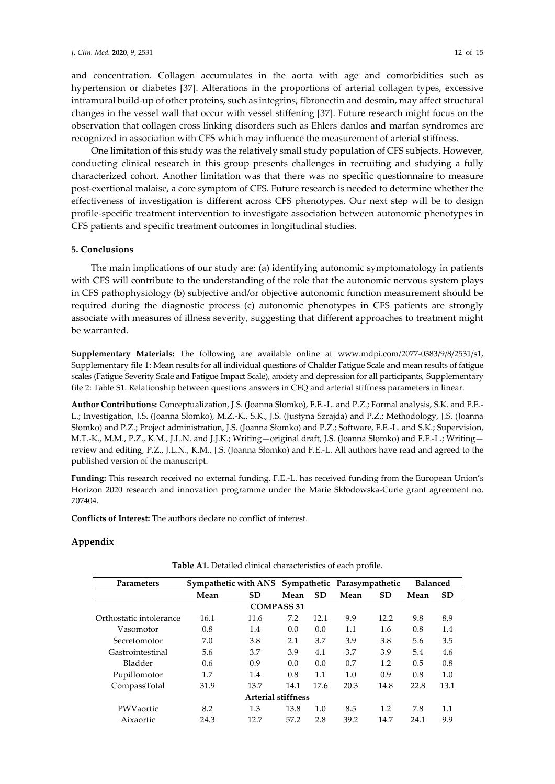and concentration. Collagen accumulates in the aorta with age and comorbidities such as hypertension or diabetes [37]. Alterations in the proportions of arterial collagen types, excessive intramural build-up of other proteins, such as integrins, fibronectin and desmin, may affect structural changes in the vessel wall that occur with vessel stiffening [37]. Future research might focus on the observation that collagen cross linking disorders such as Ehlers danlos and marfan syndromes are recognized in association with CFS which may influence the measurement of arterial stiffness.

One limitation of this study was the relatively small study population of CFS subjects. However, conducting clinical research in this group presents challenges in recruiting and studying a fully characterized cohort. Another limitation was that there was no specific questionnaire to measure post-exertional malaise, a core symptom of CFS. Future research is needed to determine whether the effectiveness of investigation is different across CFS phenotypes. Our next step will be to design profile-specific treatment intervention to investigate association between autonomic phenotypes in CFS patients and specific treatment outcomes in longitudinal studies.

#### **5. Conclusions**

The main implications of our study are: (a) identifying autonomic symptomatology in patients with CFS will contribute to the understanding of the role that the autonomic nervous system plays in CFS pathophysiology (b) subjective and/or objective autonomic function measurement should be required during the diagnostic process (c) autonomic phenotypes in CFS patients are strongly associate with measures of illness severity, suggesting that different approaches to treatment might be warranted.

**Supplementary Materials:** The following are available online at www.mdpi.com/2077-0383/9/8/2531/s1, Supplementary file 1: Mean results for all individual questions of Chalder Fatigue Scale and mean results of fatigue scales (Fatigue Severity Scale and Fatigue Impact Scale), anxiety and depression for all participants, Supplementary file 2: Table S1. Relationship between questions answers in CFQ and arterial stiffness parameters in linear.

**Author Contributions:** Conceptualization, J.S. (Joanna Słomko), F.E.-L. and P.Z.; Formal analysis, S.K. and F.E.- L.; Investigation, J.S. (Joanna Słomko), M.Z.-K., S.K., J.S. (Justyna Szrajda) and P.Z.; Methodology, J.S. (Joanna Słomko) and P.Z.; Project administration, J.S. (Joanna Słomko) and P.Z.; Software, F.E.-L. and S.K.; Supervision, M.T.-K., M.M., P.Z., K.M., J.L.N. and J.J.K.; Writing—original draft, J.S. (Joanna Słomko) and F.E.-L.; Writing review and editing, P.Z., J.L.N., K.M., J.S. (Joanna Słomko) and F.E.-L. All authors have read and agreed to the published version of the manuscript.

**Funding:** This research received no external funding. F.E.-L. has received funding from the European Union's Horizon 2020 research and innovation programme under the Marie Skłodowska-Curie grant agreement no. 707404.

**Conflicts of Interest:** The authors declare no conflict of interest.

# **Appendix**

| <b>Parameters</b>       | Sympathetic with ANS Sympathetic Parasympathetic |                           |      |           |      |           | <b>Balanced</b> |           |
|-------------------------|--------------------------------------------------|---------------------------|------|-----------|------|-----------|-----------------|-----------|
|                         | Mean                                             | <b>SD</b>                 | Mean | <b>SD</b> | Mean | <b>SD</b> | Mean            | <b>SD</b> |
|                         |                                                  | <b>COMPASS 31</b>         |      |           |      |           |                 |           |
| Orthostatic intolerance | 16.1                                             | 11.6                      | 7.2  | 12.1      | 9.9  | 12.2      | 9.8             | 8.9       |
| Vasomotor               | 0.8                                              | 1.4                       | 0.0  | 0.0       | 1.1  | 1.6       | 0.8             | 1.4       |
| Secretomotor            | 7.0                                              | 3.8                       | 2.1  | 3.7       | 3.9  | 3.8       | 5.6             | 3.5       |
| Gastrointestinal        | 5.6                                              | 3.7                       | 3.9  | 4.1       | 3.7  | 3.9       | 5.4             | 4.6       |
| Bladder                 | 0.6                                              | 0.9                       | 0.0  | 0.0       | 0.7  | 1.2       | 0.5             | 0.8       |
| Pupillomotor            | 1.7                                              | 1.4                       | 0.8  | 1.1       | 1.0  | 0.9       | 0.8             | 1.0       |
| CompassTotal            | 31.9                                             | 13.7                      | 14.1 | 17.6      | 20.3 | 14.8      | 22.8            | 13.1      |
|                         |                                                  | <b>Arterial stiffness</b> |      |           |      |           |                 |           |
| PWVaortic               | 8.2                                              | 1.3                       | 13.8 | 1.0       | 8.5  | 1.2       | 7.8             | 1.1       |
| Aixaortic               | 24.3                                             | 12.7                      | 57.2 | 2.8       | 39.2 | 14.7      | 24.1            | 9.9       |

**Table A1.** Detailed clinical characteristics of each profile.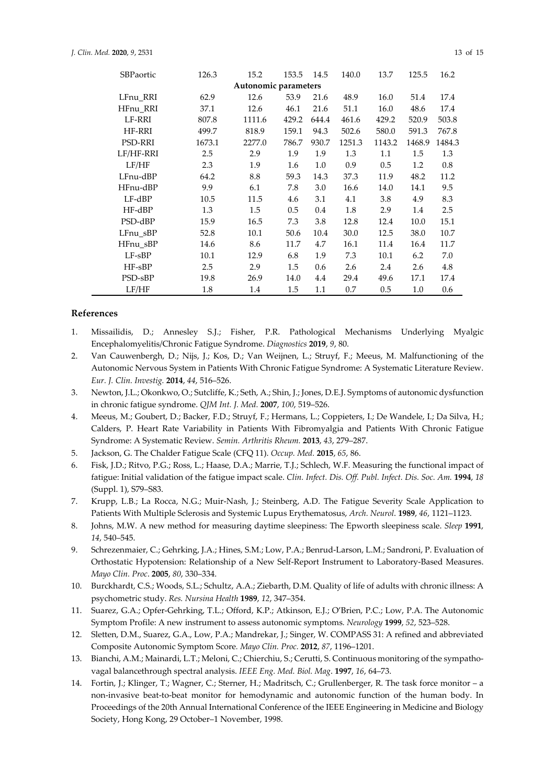| SBPaortic                                                                                                                                                                                                                                                                                                                                                                                                                                                                                                                                                                                                                                                                                                                                                                                                                                                                                                                                                                                          | 126.3 | 15.2 | 153.5 | 14.5 | 140.0 | 13.7 | 125.5 | 16.2   |
|----------------------------------------------------------------------------------------------------------------------------------------------------------------------------------------------------------------------------------------------------------------------------------------------------------------------------------------------------------------------------------------------------------------------------------------------------------------------------------------------------------------------------------------------------------------------------------------------------------------------------------------------------------------------------------------------------------------------------------------------------------------------------------------------------------------------------------------------------------------------------------------------------------------------------------------------------------------------------------------------------|-------|------|-------|------|-------|------|-------|--------|
| Autonomic parameters<br>12.6<br>21.6<br>LFnu RRI<br>62.9<br>53.9<br>48.9<br>16.0<br>51.4<br>48.6<br>HFnu RRI<br>12.6<br>21.6<br>51.1<br>37.1<br>46.1<br>16.0<br>LF-RRI<br>807.8<br>1111.6<br>429.2<br>644.4<br>461.6<br>429.2<br>520.9<br><b>HF-RRI</b><br>499.7<br>818.9<br>94.3<br>502.6<br>580.0<br>159.1<br>591.3<br>PSD-RRI<br>930.7<br>1251.3<br>1143.2<br>1468.9<br>1673.1<br>2277.0<br>786.7<br>LF/HF-RRI<br>2.9<br>1.9<br>1.9<br>1.3<br>2.5<br>1.1<br>1.5<br>LF/HF<br>0.9<br>0.5<br>2.3<br>1.9<br>1.0<br>1.2<br>1.6<br>64.2<br>8.8<br>59.3<br>14.3<br>37.3<br>11.9<br>48.2<br>$LFnu-dBP$<br>HFnu-dBP<br>9.9<br>6.1<br>3.0<br>7.8<br>16.6<br>14.0<br>14.1<br>$LF-dBP$<br>10.5<br>11.5<br>4.9<br>3.1<br>4.1<br>3.8<br>4.6<br>HF-dBP<br>1.3<br>1.5<br>0.5<br>0.4<br>1.8<br>2.9<br>1.4<br>PSD-dBP<br>7.3<br>12.8<br>12.4<br>10.0<br>15.9<br>16.5<br>3.8<br>10.1<br>50.6<br>10.4<br>30.0<br>12.5<br>38.0<br>LFnu sBP<br>52.8<br>14.6<br>8.6<br>4.7<br>11.4<br>HFnu sBP<br>11.7<br>16.1<br>16.4 |       |      |       |      |       |      |       |        |
|                                                                                                                                                                                                                                                                                                                                                                                                                                                                                                                                                                                                                                                                                                                                                                                                                                                                                                                                                                                                    |       |      |       |      |       |      |       | 17.4   |
|                                                                                                                                                                                                                                                                                                                                                                                                                                                                                                                                                                                                                                                                                                                                                                                                                                                                                                                                                                                                    |       |      |       |      |       |      |       | 17.4   |
|                                                                                                                                                                                                                                                                                                                                                                                                                                                                                                                                                                                                                                                                                                                                                                                                                                                                                                                                                                                                    |       |      |       |      |       |      |       | 503.8  |
|                                                                                                                                                                                                                                                                                                                                                                                                                                                                                                                                                                                                                                                                                                                                                                                                                                                                                                                                                                                                    |       |      |       |      |       |      |       | 767.8  |
|                                                                                                                                                                                                                                                                                                                                                                                                                                                                                                                                                                                                                                                                                                                                                                                                                                                                                                                                                                                                    |       |      |       |      |       |      |       | 1484.3 |
|                                                                                                                                                                                                                                                                                                                                                                                                                                                                                                                                                                                                                                                                                                                                                                                                                                                                                                                                                                                                    |       |      |       |      |       |      |       | 1.3    |
|                                                                                                                                                                                                                                                                                                                                                                                                                                                                                                                                                                                                                                                                                                                                                                                                                                                                                                                                                                                                    |       |      |       |      |       |      |       | 0.8    |
|                                                                                                                                                                                                                                                                                                                                                                                                                                                                                                                                                                                                                                                                                                                                                                                                                                                                                                                                                                                                    |       |      |       |      |       |      |       | 11.2   |
|                                                                                                                                                                                                                                                                                                                                                                                                                                                                                                                                                                                                                                                                                                                                                                                                                                                                                                                                                                                                    |       |      |       |      |       |      |       | 9.5    |
|                                                                                                                                                                                                                                                                                                                                                                                                                                                                                                                                                                                                                                                                                                                                                                                                                                                                                                                                                                                                    |       |      |       |      |       |      |       | 8.3    |
|                                                                                                                                                                                                                                                                                                                                                                                                                                                                                                                                                                                                                                                                                                                                                                                                                                                                                                                                                                                                    |       |      |       |      |       |      |       | 2.5    |
|                                                                                                                                                                                                                                                                                                                                                                                                                                                                                                                                                                                                                                                                                                                                                                                                                                                                                                                                                                                                    |       |      |       |      |       |      |       | 15.1   |
|                                                                                                                                                                                                                                                                                                                                                                                                                                                                                                                                                                                                                                                                                                                                                                                                                                                                                                                                                                                                    |       |      |       |      |       |      |       | 10.7   |
|                                                                                                                                                                                                                                                                                                                                                                                                                                                                                                                                                                                                                                                                                                                                                                                                                                                                                                                                                                                                    |       |      |       |      |       |      |       | 11.7   |
| $LF-sBP$                                                                                                                                                                                                                                                                                                                                                                                                                                                                                                                                                                                                                                                                                                                                                                                                                                                                                                                                                                                           | 10.1  | 12.9 | 6.8   | 1.9  | 7.3   | 10.1 | 6.2   | 7.0    |
| $HF-sBP$                                                                                                                                                                                                                                                                                                                                                                                                                                                                                                                                                                                                                                                                                                                                                                                                                                                                                                                                                                                           | 2.5   | 2.9  | 1.5   | 0.6  | 2.6   | 2.4  | 2.6   | 4.8    |
| PSD-sBP                                                                                                                                                                                                                                                                                                                                                                                                                                                                                                                                                                                                                                                                                                                                                                                                                                                                                                                                                                                            | 19.8  | 26.9 | 14.0  | 4.4  | 29.4  | 49.6 | 17.1  | 17.4   |
| LF/HF                                                                                                                                                                                                                                                                                                                                                                                                                                                                                                                                                                                                                                                                                                                                                                                                                                                                                                                                                                                              | 1.8   | 1.4  | 1.5   | 1.1  | 0.7   | 0.5  | 1.0   | 0.6    |

## **References**

- 1. Missailidis, D.; Annesley S.J.; Fisher, P.R. Pathological Mechanisms Underlying Myalgic Encephalomyelitis/Chronic Fatigue Syndrome. *Diagnostics* **2019**, *9*, 80.
- 2. Van Cauwenbergh, D.; Nijs, J.; Kos, D.; Van Weijnen, L.; Struyf, F.; Meeus, M. Malfunctioning of the Autonomic Nervous System in Patients With Chronic Fatigue Syndrome: A Systematic Literature Review. *Eur. J. Clin. Investig.* **2014**, *44*, 516–526.
- 3. Newton, J.L.; Okonkwo, O.; Sutcliffe, K.; Seth, A.; Shin, J.; Jones, D.E.J. Symptoms of autonomic dysfunction in chronic fatigue syndrome. *QJM Int. J. Med.* **2007**, *100*, 519–526.
- 4. Meeus, M.; Goubert, D.; Backer, F.D.; Struyf, F.; Hermans, L.; Coppieters, I.; De Wandele, I.; Da Silva, H.; Calders, P. Heart Rate Variability in Patients With Fibromyalgia and Patients With Chronic Fatigue Syndrome: A Systematic Review. *Semin. Arthritis Rheum.* **2013**, *43*, 279–287.
- 5. Jackson, G. The Chalder Fatigue Scale (CFQ 11). *Occup. Med.* **2015**, *65*, 86.
- 6. Fisk, J.D.; Ritvo, P.G.; Ross, L.; Haase, D.A.; Marrie, T.J.; Schlech, W.F. Measuring the functional impact of fatigue: Initial validation of the fatigue impact scale. *Clin. Infect. Dis. Off. Publ. Infect. Dis. Soc. Am.* **1994**, *18* (Suppl. 1), S79–S83.
- 7. Krupp, L.B.; La Rocca, N.G.; Muir-Nash, J.; Steinberg, A.D. The Fatigue Severity Scale Application to Patients With Multiple Sclerosis and Systemic Lupus Erythematosus, *Arch. Neurol*. **1989**, *46*, 1121–1123.
- 8. Johns, M.W. A new method for measuring daytime sleepiness: The Epworth sleepiness scale. *Sleep* **1991**, *14*, 540–545.
- 9. Schrezenmaier, C.; Gehrking, J.A.; Hines, S.M.; Low, P.A.; Benrud-Larson, L.M.; Sandroni, P. Evaluation of Orthostatic Hypotension: Relationship of a New Self-Report Instrument to Laboratory-Based Measures. *Mayo Clin. Proc*. **2005**, *80*, 330–334.
- 10. Burckhardt, C.S.; Woods, S.L.; Schultz, A.A.; Ziebarth, D.M. Quality of life of adults with chronic illness: A psychometric study. *Res. Nursina Health* **1989**, *12*, 347–354.
- 11. Suarez, G.A.; Opfer-Gehrking, T.L.; Offord, K.P.; Atkinson, E.J.; O'Brien, P.C.; Low, P.A. The Autonomic Symptom Profile: A new instrument to assess autonomic symptoms*. Neurology* **1999**, *52*, 523–528.
- 12. Sletten, D.M., Suarez, G.A., Low, P.A.; Mandrekar, J.; Singer, W. COMPASS 31: A refined and abbreviated Composite Autonomic Symptom Score*. Mayo Clin. Proc.* **2012**, *87*, 1196–1201.
- 13. Bianchi, A.M.; Mainardi, L.T.; Meloni, C.; Chierchiu, S.; Cerutti, S. Continuous monitoring of the sympathovagal balancethrough spectral analysis. *IEEE Eng. Med. Biol. Mag*. **1997**, *16*, 64–73.
- 14. Fortin, J.; Klinger, T.; Wagner, C.; Sterner, H.; Madritsch, C.; Grullenberger, R. The task force monitor a non-invasive beat-to-beat monitor for hemodynamic and autonomic function of the human body. In Proceedings of the 20th Annual International Conference of the IEEE Engineering in Medicine and Biology Society, Hong Kong, 29 October–1 November, 1998.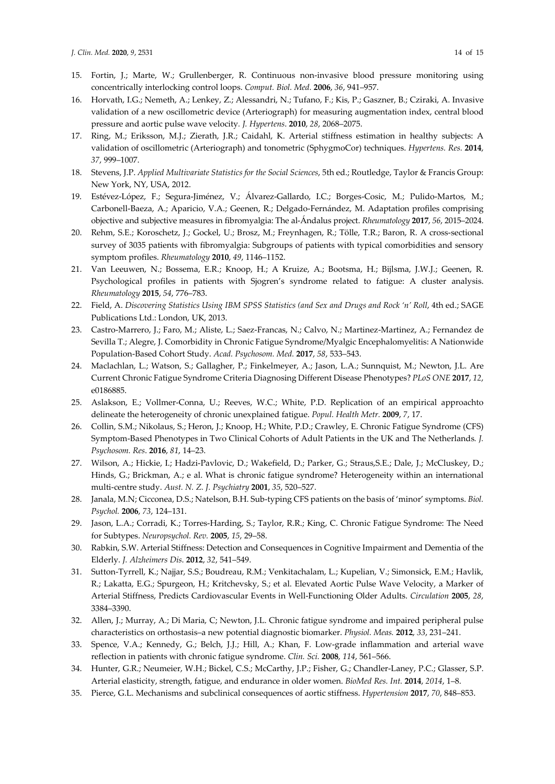- 15. Fortin, J.; Marte, W.; Grullenberger, R. Continuous non-invasive blood pressure monitoring using concentrically interlocking control loops. *Comput. Biol. Med.* **2006**, *36*, 941–957.
- 16. Horvath, I.G.; Nemeth, A.; Lenkey, Z.; Alessandri, N.; Tufano, F.; Kis, P.; Gaszner, B.; Cziraki, A. Invasive validation of a new oscillometric device (Arteriograph) for measuring augmentation index, central blood pressure and aortic pulse wave velocity*. J. Hypertens*. **2010**, *28*, 2068–2075.
- 17. Ring, M.; Eriksson, M.J.; Zierath, J.R.; Caidahl, K. Arterial stiffness estimation in healthy subjects: A validation of oscillometric (Arteriograph) and tonometric (SphygmoCor) techniques. *Hypertens. Res.* **2014**, *37*, 999–1007.
- 18. Stevens, J.P. *Applied Multivariate Statistics for the Social Sciences*, 5th ed.; Routledge, Taylor & Francis Group: New York, NY, USA, 2012.
- 19. Estévez-López, F.; Segura-Jiménez, V.; Álvarez-Gallardo, I.C.; Borges-Cosic, M.; Pulido-Martos, M.; Carbonell-Baeza, A.; Aparicio, V.A.; Geenen, R.; Delgado-Fernández, M. Adaptation profiles comprising objective and subjective measures in fibromyalgia: The al-Ándalus project. *Rheumatology* **2017**, *56*, 2015–2024.
- 20. Rehm, S.E.; Koroschetz, J.; Gockel, U.; Brosz, M.; Freynhagen, R.; Tölle, T.R.; Baron, R. A cross-sectional survey of 3035 patients with fibromyalgia: Subgroups of patients with typical comorbidities and sensory symptom profiles. *Rheumatology* **2010**, *49*, 1146–1152.
- 21. Van Leeuwen, N.; Bossema, E.R.; Knoop, H.; A Kruize, A.; Bootsma, H.; Bijlsma, J.W.J.; Geenen, R. Psychological profiles in patients with Sjogren's syndrome related to fatigue: A cluster analysis. *Rheumatology* **2015**, *54*, 776–783.
- 22. Field, A. Discovering Statistics Using IBM SPSS Statistics (and Sex and Drugs and Rock 'n' Roll, 4th ed.; SAGE Publications Ltd.: London, UK, 2013.
- 23. Castro-Marrero, J.; Faro, M.; Aliste, L.; Saez-Francas, N.; Calvo, N.; Martinez-Martinez, A.; Fernandez de Sevilla T.; Alegre, J. Comorbidity in Chronic Fatigue Syndrome/Myalgic Encephalomyelitis: A Nationwide Population-Based Cohort Study. *Acad. Psychosom. Med.* **2017**, *58*, 533–543.
- 24. Maclachlan, L.; Watson, S.; Gallagher, P.; Finkelmeyer, A.; Jason, L.A.; Sunnquist, M.; Newton, J.L. Are Current Chronic Fatigue Syndrome Criteria Diagnosing Different Disease Phenotypes? *PLoS ONE* **2017**, *12*, e0186885.
- 25. Aslakson, E.; Vollmer-Conna, U.; Reeves, W.C.; White, P.D. Replication of an empirical approachto delineate the heterogeneity of chronic unexplained fatigue. *Popul. Health Metr.* **2009**, *7*, 17.
- 26. Collin, S.M.; Nikolaus, S.; Heron, J.; Knoop, H.; White, P.D.; Crawley, E. Chronic Fatigue Syndrome (CFS) Symptom-Based Phenotypes in Two Clinical Cohorts of Adult Patients in the UK and The Netherlands*. J. Psychosom. Res*. **2016**, *81*, 14–23.
- 27. Wilson, A.; Hickie, I.; Hadzi-Pavlovic, D.; Wakefield, D.; Parker, G.; Straus,S.E.; Dale, J.; McCluskey, D.; Hinds, G.; Brickman, A.; e al. What is chronic fatigue syndrome? Heterogeneity within an international multi-centre study. *Aust. N. Z. J. Psychiatry* **2001**, *35*, 520–527.
- 28. Janala, M.N; Cicconea, D.S.; Natelson, B.H. Sub-typing CFS patients on the basis of 'minor' symptoms. *Biol. Psychol.* **2006**, *73*, 124–131.
- 29. Jason, L.A.; Corradi, K.; Torres-Harding, S.; Taylor, R.R.; King, C. Chronic Fatigue Syndrome: The Need for Subtypes. *Neuropsychol. Rev.* **2005**, *15*, 29–58.
- 30. Rabkin, S.W. Arterial Stiffness: Detection and Consequences in Cognitive Impairment and Dementia of the Elderly. *J. Alzheimers Dis*. **2012**, *32*, 541–549.
- 31. Sutton-Tyrrell, K.; Najjar, S.S.; Boudreau, R.M.; Venkitachalam, L.; Kupelian, V.; Simonsick, E.M.; Havlik, R.; Lakatta, E.G.; Spurgeon, H.; Kritchevsky, S.; et al. Elevated Aortic Pulse Wave Velocity, a Marker of Arterial Stiffness, Predicts Cardiovascular Events in Well-Functioning Older Adults. *Circulation* **2005**, *28*, 3384–3390.
- 32. Allen, J.; Murray, A.; Di Maria, C; Newton, J.L. Chronic fatigue syndrome and impaired peripheral pulse characteristics on orthostasis–a new potential diagnostic biomarker. *Physiol. Meas.* **2012**, *33*, 231–241.
- 33. Spence, V.A.; Kennedy, G.; Belch, J.J.; Hill, A.; Khan, F. Low-grade inflammation and arterial wave reflection in patients with chronic fatigue syndrome. *Clin. Sci.* **2008**, *114*, 561–566.
- 34. Hunter, G.R.; Neumeier, W.H.; Bickel, C.S.; McCarthy, J.P.; Fisher, G.; Chandler-Laney, P.C.; Glasser, S.P. Arterial elasticity, strength, fatigue, and endurance in older women. *BioMed Res. Int.* **2014**, *2014*, 1–8.
- 35. Pierce, G.L. Mechanisms and subclinical consequences of aortic stiffness. *Hypertension* **2017**, *70*, 848–853.